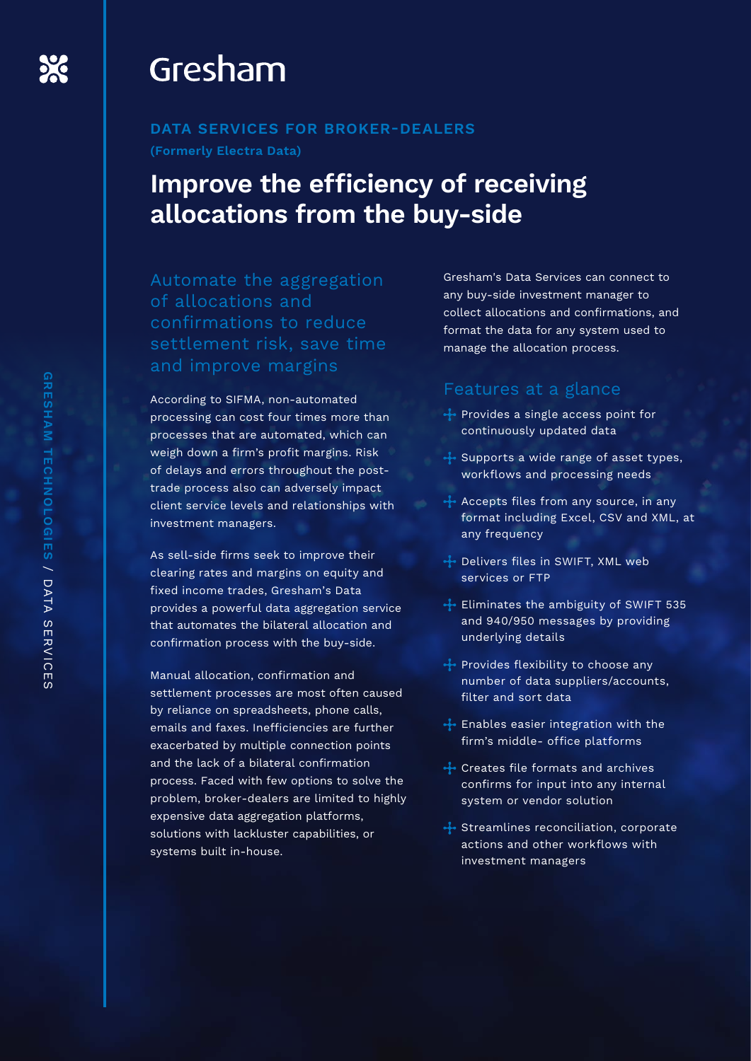# Gresham

#### **DATA SERVICES FOR BROKER-DEALERS (Formerly Electra Data)**

## **Improve the efficiency of receiving allocations from the buy-side**

Automate the aggregation of allocations and confirmations to reduce settlement risk, save time and improve margins

According to SIFMA, non-automated processing can cost four times more than processes that are automated, which can weigh down a firm's profit margins. Risk of delays and errors throughout the posttrade process also can adversely impact client service levels and relationships with investment managers.

As sell-side firms seek to improve their clearing rates and margins on equity and fixed income trades, Gresham's Data provides a powerful data aggregation service that automates the bilateral allocation and confirmation process with the buy-side.

Manual allocation, confirmation and settlement processes are most often caused by reliance on spreadsheets, phone calls, emails and faxes. Inefficiencies are further exacerbated by multiple connection points and the lack of a bilateral confirmation process. Faced with few options to solve the problem, broker-dealers are limited to highly expensive data aggregation platforms, solutions with lackluster capabilities, or systems built in-house.

Gresham's Data Services can connect to any buy-side investment manager to collect allocations and confirmations, and format the data for any system used to manage the allocation process.

#### Features at a glance

- Provides a single access point for continuously updated data
- $\div$  Supports a wide range of asset types, workflows and processing needs
- $\rightarrow$  Accepts files from any source, in any format including Excel, CSV and XML, at any frequency
- $\rightarrow$  Delivers files in SWIFT, XML web services or FTP
- $\cdot$  Eliminates the ambiguity of SWIFT 535 and 940/950 messages by providing underlying details
- $\rightarrow$  Provides flexibility to choose any number of data suppliers/accounts, filter and sort data
- $\cdot$  Enables easier integration with the firm's middle- office platforms
- Creates file formats and archives confirms for input into any internal system or vendor solution
- Streamlines reconciliation, corporate actions and other workflows with investment managers